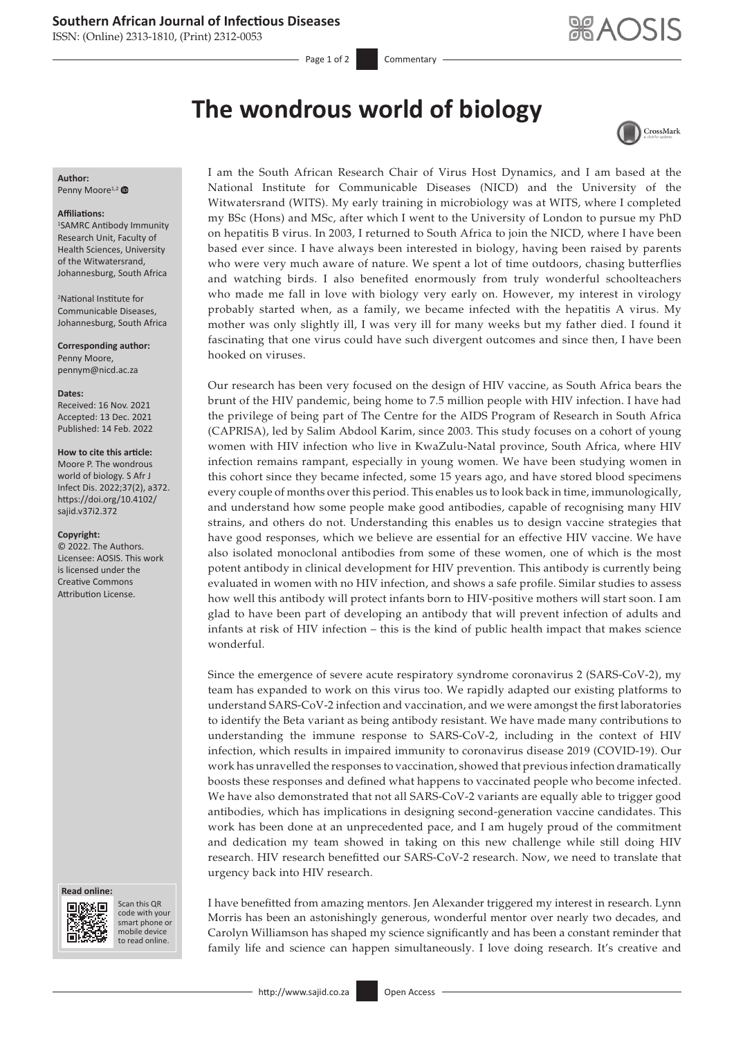## **Southern African Journal of Infectious Diseases**

ISSN: (Online) 2313-1810, (Print) 2312-0053

Page 1 of 2 Commentary

CrossMark

# **The wondrous world of biology**

**Author:** Penny Moore<sup>1,[2](https://orcid.org/0000-0001-8719-4028)</sup>

### **Affiliations:**

1 SAMRC Antibody Immunity Research Unit, Faculty of Health Sciences, University of the Witwatersrand, Johannesburg, South Africa

2 National Institute for Communicable Diseases, Johannesburg, South Africa

**Corresponding author:** Penny Moore, [pennym@nicd.ac.za](mailto:pennym@nicd.ac.za)

### **Dates:**

Received: 16 Nov. 2021 Accepted: 13 Dec. 2021 Published: 14 Feb. 2022

### **How to cite this article:**

Moore P. The wondrous world of biology. S Afr J Infect Dis. 2022;37(2), a372. [https://doi.org/10.4102/](https://doi.org/10.4102/sajid.v37i2.372) [sajid.v37i2.372](https://doi.org/10.4102/sajid.v37i2.372)

### **Copyright:**

© 2022. The Authors. Licensee: AOSIS. This work is licensed under the Creative Commons Attribution License.

#### **Read online: Read online:**



Scan this QR code with your Scan this QR<br>code with your<br>smart phone or<br>mobile device mobile device to read online. to read online.

I am the South African Research Chair of Virus Host Dynamics, and I am based at the National Institute for Communicable Diseases (NICD) and the University of the Witwatersrand (WITS). My early training in microbiology was at WITS, where I completed my BSc (Hons) and MSc, after which I went to the University of London to pursue my PhD on hepatitis B virus. In 2003, I returned to South Africa to join the NICD, where I have been based ever since. I have always been interested in biology, having been raised by parents who were very much aware of nature. We spent a lot of time outdoors, chasing butterflies and watching birds. I also benefited enormously from truly wonderful schoolteachers who made me fall in love with biology very early on. However, my interest in virology probably started when, as a family, we became infected with the hepatitis A virus. My mother was only slightly ill, I was very ill for many weeks but my father died. I found it fascinating that one virus could have such divergent outcomes and since then, I have been hooked on viruses.

Our research has been very focused on the design of HIV vaccine, as South Africa bears the brunt of the HIV pandemic, being home to 7.5 million people with HIV infection. I have had the privilege of being part of The Centre for the AIDS Program of Research in South Africa (CAPRISA), led by Salim Abdool Karim, since 2003. This study focuses on a cohort of young women with HIV infection who live in KwaZulu-Natal province, South Africa, where HIV infection remains rampant, especially in young women. We have been studying women in this cohort since they became infected, some 15 years ago, and have stored blood specimens every couple of months over this period. This enables us to look back in time, immunologically, and understand how some people make good antibodies, capable of recognising many HIV strains, and others do not. Understanding this enables us to design vaccine strategies that have good responses, which we believe are essential for an effective HIV vaccine. We have also isolated monoclonal antibodies from some of these women, one of which is the most potent antibody in clinical development for HIV prevention. This antibody is currently being evaluated in women with no HIV infection, and shows a safe profile. Similar studies to assess how well this antibody will protect infants born to HIV-positive mothers will start soon. I am glad to have been part of developing an antibody that will prevent infection of adults and infants at risk of HIV infection – this is the kind of public health impact that makes science wonderful.

Since the emergence of severe acute respiratory syndrome coronavirus 2 (SARS-CoV-2), my team has expanded to work on this virus too. We rapidly adapted our existing platforms to understand SARS-CoV-2 infection and vaccination, and we were amongst the first laboratories to identify the Beta variant as being antibody resistant. We have made many contributions to understanding the immune response to SARS-CoV-2, including in the context of HIV infection, which results in impaired immunity to coronavirus disease 2019 (COVID-19). Our work has unravelled the responses to vaccination, showed that previous infection dramatically boosts these responses and defined what happens to vaccinated people who become infected. We have also demonstrated that not all SARS-CoV-2 variants are equally able to trigger good antibodies, which has implications in designing second-generation vaccine candidates. This work has been done at an unprecedented pace, and I am hugely proud of the commitment and dedication my team showed in taking on this new challenge while still doing HIV research. HIV research benefitted our SARS-CoV-2 research. Now, we need to translate that urgency back into HIV research.

I have benefitted from amazing mentors. Jen Alexander triggered my interest in research. Lynn Morris has been an astonishingly generous, wonderful mentor over nearly two decades, and Carolyn Williamson has shaped my science significantly and has been a constant reminder that family life and science can happen simultaneously. I love doing research. It's creative and